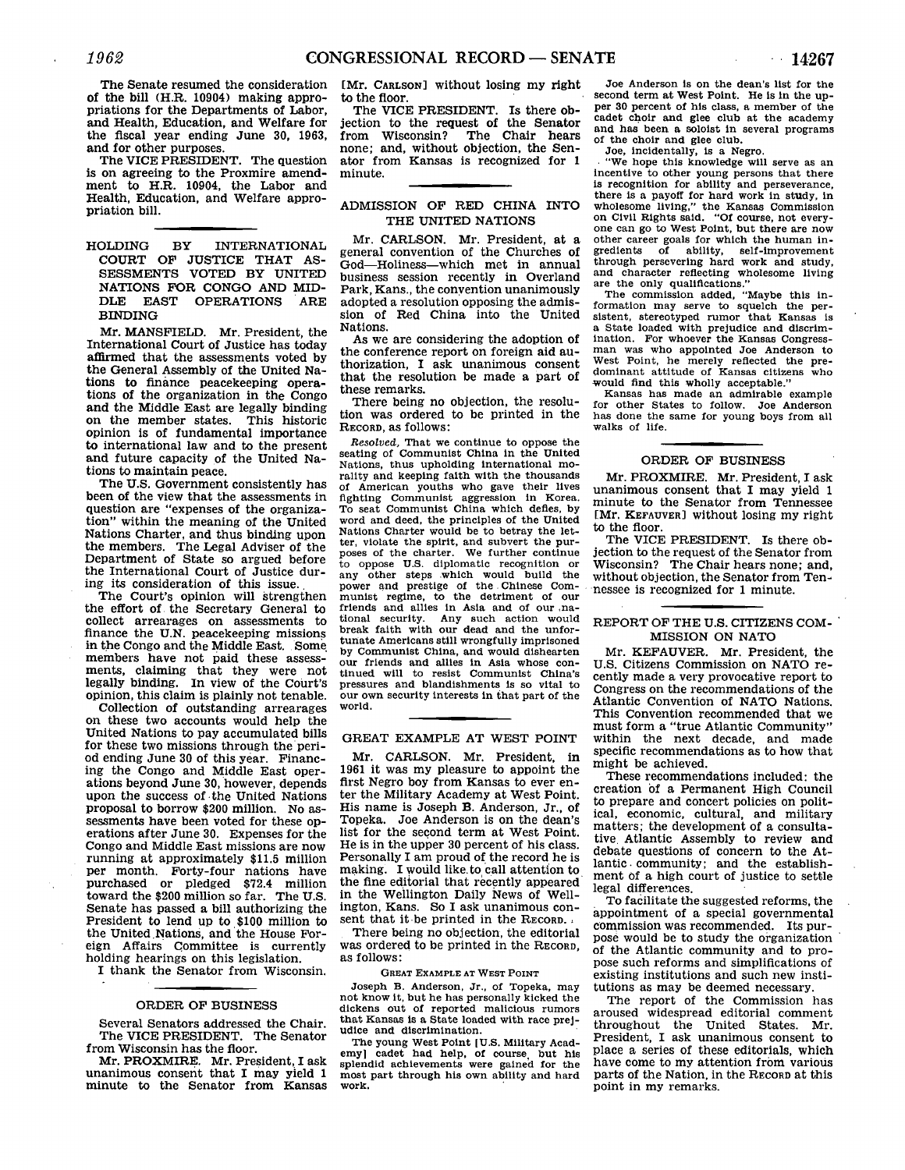The Senate resumed the consideration of the bill (H.R. 10904) making appropriations for the Departments of Labor, and Health, Education, and Welfare for the fiscal year ending June **30, 1963,** and for other purposes.

The VICE **PRESIDENT.** The question is on agreeing to the Proxmire amendment to H.R. 10904, the Labor and Health, Education, and Welfare appropriation bill.

HOLDING BY INTERNATIONAL **COURT** OF **JUSTICE** THAT **AS-SESSMENTS** VOTED BY UNITED NATIONS FOR **CONGO AND** MID-**DLE EAST** OPERATIONS ARE BINDING

Mr. MANSFIELD. Mr. President, the International Court of Justice has today affirmed that the assessments voted **by** the General Assembly of the United Nations to finance peacekeeping operations of the organization in the Congo and the Middle East are legally binding on the member states. This historic opinion is of fundamental importance to international law and to the present and future capacity of the United Nations to maintain peace.

The **U.S.** Government consistently has been of the view that the assessments in question are "expenses of the organization" within the meaning of the United Nations Charter, and thus binding upon the members. The Legal Adviser of the Department of State so argued before the International Court of Justice during its consideration of this issue..

The Court's opinion will strengthen the effort of the Secretary General to collect arrearages on assessments to finance the **U.N.** peacekeeping missions in the Congo and the Middle East. Some members have not paid these assessments, claiming that they were not legally binding. In view of the Court's opinion, this claim is plainly not tenable.

Collection of outstanding arrearages on these two accounts would help the United Nations to pay accumulated bills for these two missions through the period ending June **30** of this year. Financing the Congo and Middle East operations beyond June **30,** however, depends upon the success of the United Nations proposal to borrow \$200 million. No assessments have been voted for these operations after June **30.** Expenses for the Congo and Middle East missions are now running at approximately **\$11.5** million per month. Forty-four nations have purchased or pledged \$72.4 million toward the \$200 million so far. The **U.S.** Senate has passed a bill authorizing the President to lend up to **\$100** million to the United Nations, and the House Foreign Affairs Committee is currently holding hearings on this legislation.

I thank the Senator from Wisconsin.

## ORDER OF **BUSINESS**

Several Senators addressed the Chair. The **VICE** PRESIDENT. The Senator from Wisconsin has the floor.

Mr. PROXMIRE. Mr. President, I ask unanimous consent that I may yield **1** minute to the Senator from Kansas [Mr. **CARLSON]** without losing my right to the floor.

The VICE **PRESIDENT.** Is there objection to the request of the Senator<br>from Wisconsin? The Chair hears The Chair hears none; and, without objection, the Senator from Kansas is recognized for **1** minute.

# ADMISSION OF RED CHINA INTO THE UNITED NATIONS

Mr. **CARLSON.** Mr. President, at a general convention of the Churches of God-Holiness-which met in annual business session recently in Overland Park, Kans., the convention unanimously adopted a resolution opposing the admission of Red China into the United Nations.

As we are considering the adoption of the conference report on foreign aid authorization, I ask unanimous consent that the resolution be made a part of these remarks.

There being no objection, the resolution was ordered to be printed in the RECORD, as follows:

*Resolved,* That we continue to oppose the seating of Communist China in the United<br>Nations, thus upholding international morality and keeping faith with the thousands of American youths who gave their lives fighting Communist aggression in Korea. To seat Communist China which defies, by word and deed, the principles of the United Nations Charter would be to betray the letter, violate the spirit, and subvert the purposes of the charter. We further continue to oppose **U.S.** diplomatic recognition or any other steps which would build the power and prestige of the Chinese Com-<br>munist regime, to the detriment of our munist regime, to the detriment of our na-<br>friends and allies in Asia and of our na-<br>tional security. Any such action would<br>break faith with our dead and the unfortunate Americans still wrongfully imprisoned<br>by Communist China, and would dishearten<br>our friends and allies in Asia whose con-<br>tinued will to resist Communist China's<br>pressures and blandishments is so yital to pressure and blanding interests in that part of the world.

### GREAT EXAMPLE **AT** WEST **POINT**

Mr. **CARLSON.** Mr. President, in 1961 it was my pleasure to appoint the first Negro boy from Kansas to ever enter the Military Academy at West Point. His name is Joseph B. Anderson, Jr., of Topeka. Joe Anderson is on the dean's list for the second term at West Point. He is in the upper 30 percent of his class. Personally **I** am proud of the record he is making. I would like. to call attention to the fine editorial that recently appeared in the Wellington Daily News of Wellington, Kans. So I ask unanimous consent that it be printed in the RECORD.

There being no objection, the editorial was ordered to be printed in the RECORD, as follows:

#### **GREAT** EXAMPLE **AT** WEST POINT

Joseph B. Anderson, Jr., of Topeka, may not know it, but he has personally kicked the dickens out of reported malicious rumors that Kansas is a State loaded with race prejudice and discrimination.

The young West Point **[U.S.** Military Academy] cadet had help, of course but his splendid achievements were gained for the most part through his own ability and hard most part through his own ability and hard<br>work.

Joe Anderson is on the dean's list for the second term at West Point. He is In the upper **30** percent of his class, a member of the cadet choir and glee club at the academy and has been a soloist in several programs of the choir and glee club.

Joe, incidentally, is a Negro.

"We hope this knowledge will serve as an incentive to other young persons that there is recognition for ability and perseverance, there is a payoff for hard work in study, in wholesome living," the Kansas Commission on Civil Rights said. **"Of** course, not every-one can go to West Point, but there are now other career goals for which the human ingredients of ability, self-improvement through persevering hard work and study, and character reflecting wholesome living are the only qualifications."

The commission added, "Maybe this in-formation may serve to squelch the persistent, stereotyped rumor that Kansas is a State loaded with prejudice and discrim-<br>ination. For whoever the Kansas Congressination. For whoever the Kansas Congress- man was who appointed Joe Anderson to West Point, he merely reflected the pre-dominant attitude of Kansas citizens who -would find this wholly acceptable."

Kansas has made an admirable example for other States to follow. Joe Anderson has done the same for young boys from all walks of life.

# ORDER OF **BUSINESS**

Mr. PROXMIRE. Mr. President, **I** ask unanimous consent that I may yield **1** minute to the Senator from Tennessee [Mr. KEFAUVER] without losing my right to the floor.

The **VICE** PRESIDENT. Is there objection to the request of the Senator from Wisconsin? The Chair hears none; and, without objection, the Senator from Tennessee is recognized for **1** minute.

# REPORT OF THE **U.S.** CITIZENS COM-MISSION ON NATO

Mr. KEFAUVER. Mr. President, the U.S. Citizens Commission on NATO re- cently made a very provocative report to Congress on the recommendations of the Atlantic Convention of NATO Nations. This Convention recommended that we must form a "true Atlantic Community" within the next decade, and made specific recommendations as to how that might be achieved.

These recommendations included: the creation **of** a Permanent High Council to prepare and concert policies on political, economic, cultural, and military matters; the development of a consultative Atlantic Assembly to review and debate questions of concern to the Atlantic. community; and the establishment of a high court of justice to settle legal differences.

To facilitate the suggested reforms, the appointment of a special governmental commission was recommended. Its purpose would be to study the organization of the Atlantic community and to propose such reforms and simplifications of existing institutions and such new institutions as may be deemed necessary.

The report of the Commission has aroused widespread editorial comment throughout the United States. Mr. President, I ask unanimous consent to place a series of these editorials, which have come to my attention from various parts of the Nation, in the RECORD at this point in my remarks.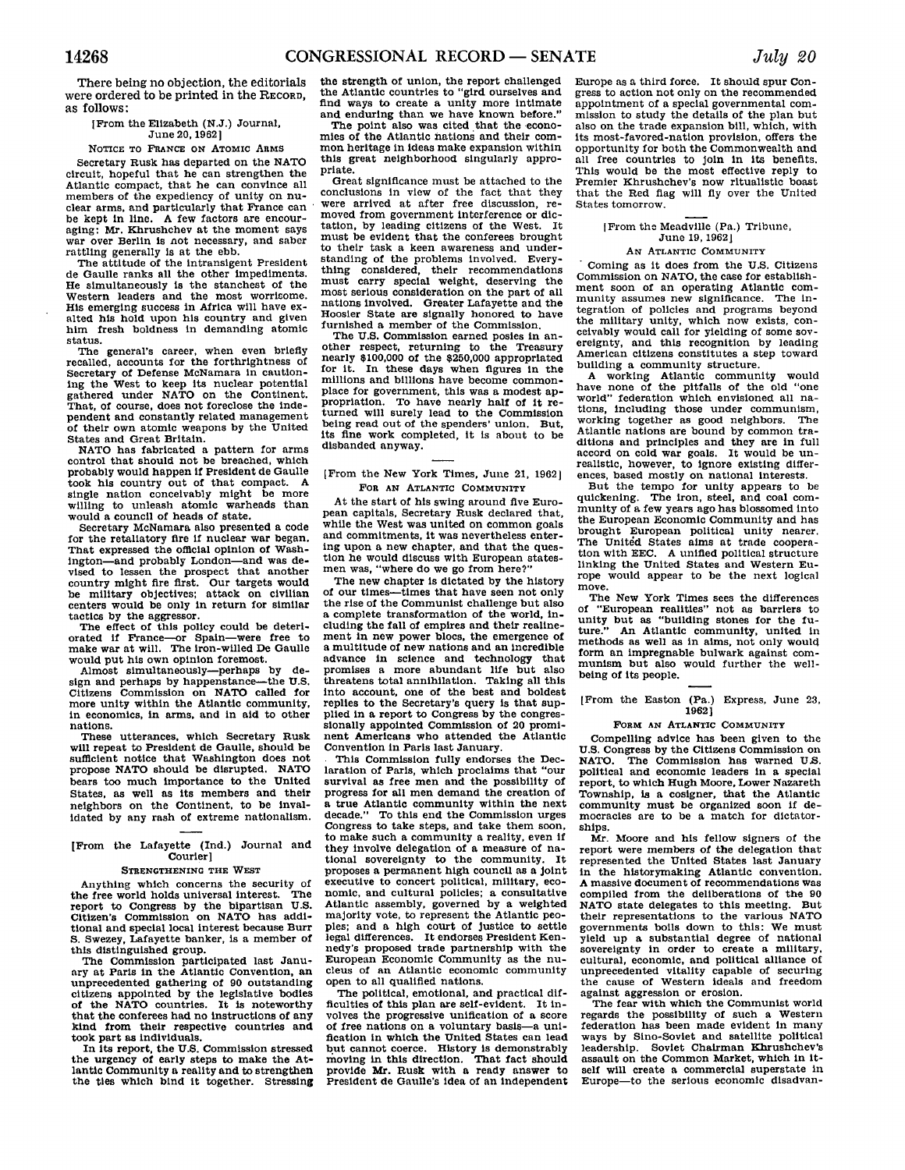There being no objection, the editorials were ordered to be printed in the RECORD, as follows:

#### [From the Elizabeth (N.J.) Journal, June 20, **1962]**

### **NOTICE** TO **FRANCE** ON ATOMIC ARMS

Secretary Rusk has departed on the **NATO** circuit, hopeful that he can strengthen the Atlantic compact, that he can convince all members of the expediency of unity on nuclear arms, and particularly that France can be kept in line. **A** few factors are encour-aging: Mr. Khrushchev at the moment says war over Berlin is **not** necessary, and saber rattling generally is at the ebb.

The attitude of the intransigent President de Gaulle ranks all the other impediments. He simultaneously is the stanchest of the Western leaders and the most worrisome. His emerging success in Africa will have exalted his hold upon his country and given him fresh boldness in demanding atomic status.

The general's career, when even briefly recalled, accounts for the forthrightness of Secretary of Defense McNamara in cautioning the West to keep its nuclear potential gathered under **NATO** on the Continent. That, of course, does not foreclose the independent and constantly related management of their own atomic weapons **by** the United States and Great Britain.

**NATO** has fabricated a pattern for arms control that should not be breached, which probably would happen **if** President de Gaulle took his country out of that compact. **<sup>A</sup>** single nation conceivably might be more willing to unleash atomic warheads than would a council of heads of state.

Secretary McNamara also presented a code for the retaliatory fire **if** nuclear war began. That expressed the official opinion of Wash-<br>ington—and probably London—and was de--and probably London-and was devised to lessen the prospect that another country might fire first. Our targets would be military objectives; attack on civilian centers would be only in return for similar tactics **by** the aggressor.

The effect of this policy could be deteriorated if France-or Spain-were free to make war at will. The iron-willed De Gaulle would put his own opinion foremost.

Almost simultaneously-perhaps **by** design and perhaps **by** happenstance-the **U.S.** Citizens Commission on **NATO** called for more unity within the Atlantic community, in economics, in arms, and in aid to other nations.

These utterances, which Secretary Rusk will repeat to President de Gaulle, should be sufficient notice that Washington does not propose **NATO** should be disrupted. **NATO** bears too much importance to the United States, as well **as** its members and their neighbors on the Continent, to be invalidated **by** any rash of extreme nationalism.

[From the Lafayette (Ind.) Journal and Courier]

### **STRENGTHENING** THE WEST

Anything which concerns the security of the free world holds universal interest. The report to Congress **by** the bipartisan **U.S.** Citizen's Commission on **NATO** has additional and special local interest because Burr **S.** Swezey, Lafayette banker, is a member of this distinguished group.

The Commission participated last Janu-ary at Paris in the Atlantic Convention, an unprecedented gathering of **90** outstanding citizens appointed **by** the legislative bodies of the **NATO** countries. It is noteworthy that the conferees had no instructions of any kind from their respective countries and took part as individuals.

In Its report, the **U.S.** Commission stressed the urgency of early steps to make the Atlantic Community a reality and to strengthen the ties which bind it together. Stressing

the strength of union, the report challenged the Atlantic countries to "gird ourselves and find ways to create a unity more intimate and enduring than we have known before."

The point also was cited that the economies of the Atlantic nations and their common heritage in ideas make expansion within this great neighborhood singularly appropriate.

Great significance must be attached to the conclusions in view of the fact that they were arrived at after free discussion, removed from government interference or dictation, **by** leading citizens of the West. It must be evident that the conferees brought to their task a keen awareness and understanding of the problems involved. Every-thing considered, their recommendations must carry special weight, deserving the most serious consideration on the part of all nations involved. Greater Lafayette and the Hoosier State are signally honored to have furnished a member of the Commission.

The **U.S.** Commission earned posies in another respect, returning to the Treasury nearly **\$100,000** of the **\$250,000** appropriated for it. In these days when figures in the millions and billions have become commonplace for government, this was a modest ap-propriation. To have nearly half of it returned will surely lead to the Commission being read out of the spenders' union. But, its fine work completed, it is about to be disbanded anyway.

### [From the New York Times, June 21, **1962]** FOR **AN ATLANTIC COMMUNITY**

At the start of his swing around five European capitals, Secretary Rusk declared that while the West was united on common goals and commitments, it was nevertheless entering upon a new chapter, and that the question he would discuss with European statesmen was, "where do we go from here?"

The new chapter is dictated **by** the history of our times-times that have seen not only the rise of the Communist challenge but also a complete transformation of the world, including the fall of empires and their realinement in new power blocs, the emergence of a multitude of new nations and an incredible advance in science and technology that promises a more abundant life but also threatens total annihilation. Taking all this Into account, one of the best and boldest replies to the Secretary's query is that supplied in a report to Congress **by** the congressionally appointed Commission of 20 prominent Americans who attended the Atlantic Convention in Paris last January.

This Commission fully endorses the Declaration of Paris, which proclaims that "our survival as free men and the possibility of progress for all men demand the creation of a true Atlantic community within the next decade." To this end the Commission urges Congress to take steps, and take them soon, to make such a community a reality, even if they involve delegation of a measure of national sovereignty to the community. It proposes a permanent high council as a joint executive to concert political, military, economic, and cultural policies; a consultative Atlantic assembly, governed **by** a weighted majority vote, to represent the Atlantic peoples; and a high court of justice to settle legal differences. It endorses President Kennedy's proposed trade partnership with the European Economic Community as the nucleus of an Atlantic economic community open to all qualified nations.

The political, emotional, and practical difficulties of this plan are self-evident. It involves the progressive unification of a score of free nations on a voluntary basis-a unification in which the United States can lead but cannot coerce. History is demonstrably \* moving in this direction. That fact should provide Mr. Rusk with a ready answer to President de Gaulle's idea of an independent

Europe as a third force. It should spur Congress to action not only on the recommended appointment of a special governmental commission to study the details of the plan but also on the trade expansion bill, which, with its most-favored-nation provision, offers the opportunity for both the Commonwealth and all free countries to join In Its benefits. This would be the most effective reply to Premier Khrushchev's now ritualistic boast that the Red flag will **fly** over the United States tomorrow.

#### [From the Meadville (Pa.) Tribune, June 19, 19621

### AN **ATLANTIC** COMMUNITY

Coming as it does from the **U.S.** Citizens Commission on **NATO,** the case for establishment soon of an operating Atlantic community assumes new significance. The integration of policies and programs beyond the military unity, which now exists, con-ceivably would call for yielding of some sovereignty, and this recognition **by** leading American citizens constitutes a step toward building a community structure.

**A** working Atlantic community would have none of the pitfalls of the old "one world" federation which envisioned all nations, including those under communism, working together as good neighbors. The Atlantic nations are bound **by** common traditions and principles and they are in full accord on cold war goals. It would be unrealistic, however, to ignore existing differences, based mostly on national interests.

But the tempo for unity appears to be quickening. The iron, steel, and coal com-munity of a few years ago has blossomed into the European Economic Community and has brought European political unity nearer. The United States aims at trade cooperation with **EEC. A** unified political structure linking the United States and Western Europe would appear to be the next logical move.

The New York Times sees the differences<br>of "European realities" not as barriers to of "European realities" not as barriers to unity but as "building stones for the fu-ture." An Atlantic community, united in ture." An Atlantic community, united in methods as well as in aims, not only would form an impregnable bulwark against communism but also would further the wellbeing of its people.

[From the Easton (Pa.) Express, June **23, 1962]**

#### **FORM AN ATLANTIC COMMUNITY**

Compelling advice has been given to the **U.S.** Congress **by** the Citizens Commission on **NATO.** The Commission has warned **U.S.** political and economic leaders in a special report, to which Hugh Moore, Lower Nazareth Township, is a cosigner, that the Atlantic community must be organized soon **if** democracies are to be a match for dictatorships.

Mr. Moore and his fellow signers of the report were members of the delegation that represented the United States last January in the historymaking Atlantic convention. **A** massive document of recommendations was compiled from the deliberations of the **90 NATO** state delegates to this meeting. But their representations to the various **NATO** governments boils down to this: We must yield up a substantial degree of national sovereignty in order to create a military. cultural, economic, and political alliance of unprecedented vitality capable of securing the cause of Western ideals and freedom against aggression or erosion.

The fear with which the Communist world regards the possibility of such a Western federation has been made evident in many ways **by** Sino-Soviet and satellite political leadership. Soviet Chairman Khrushchev's assault on the Common Market, which in itself will create a commercial superstate in Europe-to the serious economic disadvan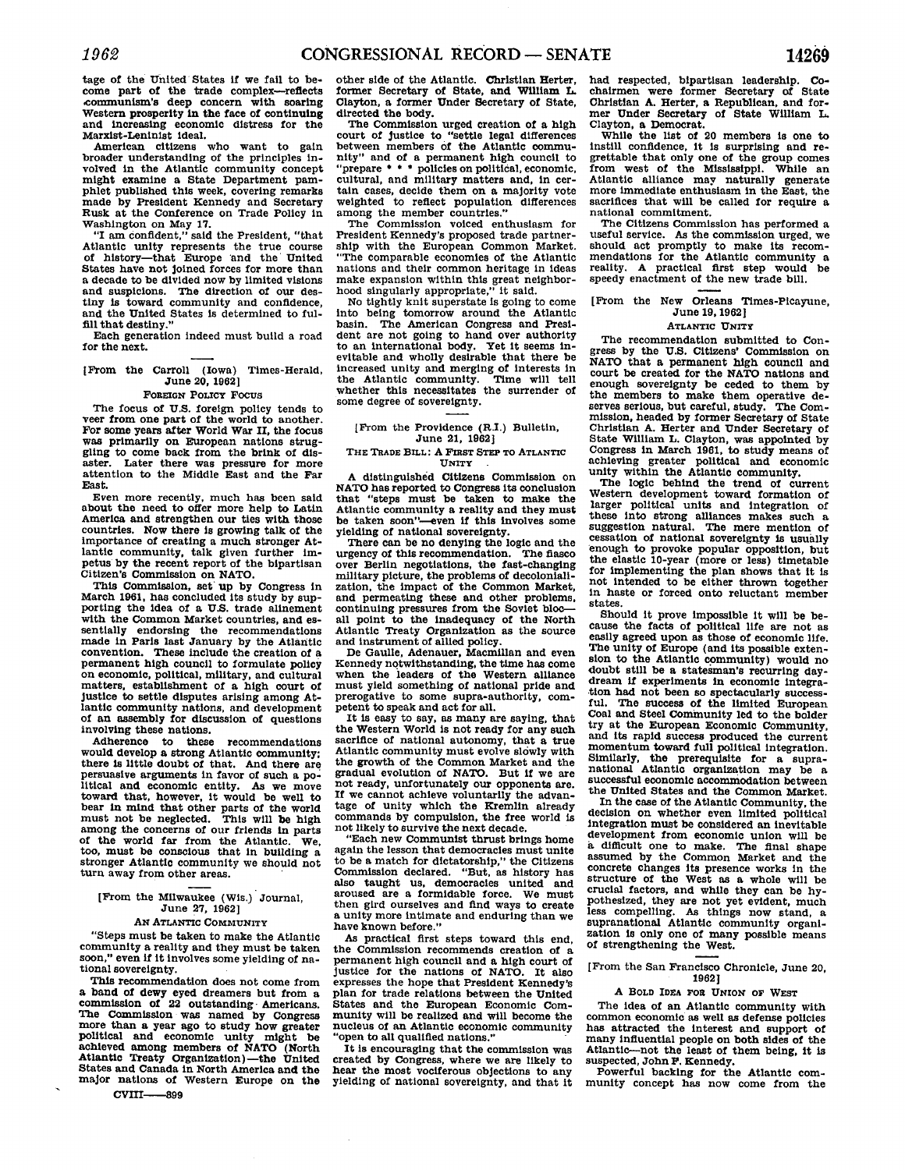tage of the United States **if** we fail to become part of the trade complex-reflects ,communism's deep concern with soaring Western prosperity in the face of continuing and increasing economic distress for the Marxist-Leninist ideal.

American citizens who want to gain broader understanding of the principles in-volved in the Atlantic community concept might examine a State Department pamphlet published this week, covering remarks made **by** President Kennedy and Secretary Rusk at the Conference on Trade Policy in Washington on May **17.**

"I am confident," said the President, "that Atlantic unity represents the true course of history-that Europe and the United a decade to be divided now by limited visions and suspicions. The direction of our destiny is toward community and confidence, and the United States is determined to fulfill that destiny."

Each generation indeed must build a road for the next.

[From the Carroll (Iowa) Times-Herald, June *20,* **19621**

### FOREIGN **POLICY FOCUS**

The focus of **U.S.** foreign policy tends to veer from one part of the world to another. For some years after World War II, the focus was primarily on European nations struggling to come back from the brink of disaster. Later there was pressure for more attention to the Middle East and the **Far** East.

Even more recently, much has been said about the need to offer more help to Latin America and strengthen our ties with those countries. Now there is growing talk of the importance of creating a much stronger Atlantic community, talk given further impetus **by** the recent report of the bipartisan Citizen's Commission on **NATO.**

This Commission, set up **by** Congress in porting the idea of a U.S. trade alinement with the Common Market countries, and essentially endorsing the recommendations made in Paris last January **by** the Atlantic permanent high council to formulate policy on economic, political, military, and cultural matters, establishment of a high court of justice to settle disputes arising among Atlantic community nations, and development of an assembly for discussion of questions involving these nations.

Adherence to these recommendations would develop a strong Atlantic community;<br>there is little doubt of that. And there are persuasive arguments in favor of such a political and economic entity. As we move toward that, however, it would be well to bear in mind that other parts of the world bear in mind that other parts of the world<br>must not be neglected. This will be high among the concerns of our friends in parts of the world far from the Atlantic. We, too, must be conscious that in building a stronger Atlantic community we should not turn away from other areas.

# [From the Milwaukee (Wis.) Journal, June **27, 1962]**

### **AN ATLANTIC COMMUNITY**

"Steps must be taken to make the Atlantic community a reality and they must be taken soon," even **if** it involves some yielding of na- tional sovereignty.

a band of dewy eyed dreamers but from a commission of 22 outstanding. Americans. The Commission was named **by** Congress more than a year ago to study how greater political and economic unity might be achieved among members of NATO (North Atlantic Treaty Organization)-the United States and Canada in North America and the major nations of Western Europe on the

 $CV$ III $\_\_\_\$ goo

other side of the Atlantic. Christian Herter, former Secretary of State, and William L. Clayton, a former Under Secretary of State, directed the body.

The Commission urged creation of a **high** court of justice to "settle legal differences between members of the Atlantic community" and of a permanent **high** council to "prepare **\* \* \*** policies on political, economic, cultural, and military matters and, in certain cases, decide them on a majority vote weighted to reflect population differences among the member countries."

The Commission voiced enthusiasm for President Kennedy's proposed trade partnership with the European Common Market. "The comparable economies of the Atlantic nations and their common heritage in ideas make expansion within this great neighborhood singularly appropriate," it said.

No tightly knit superstate is going to come into being tomorrow around the Atlantic basin. The American Congress and President are not going to hand over authority to an international body. Yet it seems inevitable and wholly desirable that there be increased unity and merging of interests in<br>the Atlantic community. Time will tell the Atlantic community. Time will tell whether this necessitates the surrender of some degree of sovereignty.

### [From the Providence (R.I.) Bulletin, June 21, **1962]**

#### **THE TRADE BILL: A FIRST STEP To ATLANTIC UNITY**

**A** distinguished Citizens Commission on **NATO** has reported to Congress its conclusion that "steps must be taken to make the Atlantic community a reality and they must be taken soon"-even **if** this involves some yielding of national sovereignty.

There can be no denying the logic and the reency of this recommendation. The fiasco urgency of this recommendation. over Berlin negotiations, the fast-changing military picture, the problems of decolonialization, the impact of the Common Market, and permeating these and other problems, continuing pressures from the Soviet **bloc**all point to the inadequacy of the North Atlantic Treaty Organization as the source and instrument of allied policy.

De Gaulle, Adenauer, Macmillan and even Kennedy notwithstanding, the time has come Kennedy notwithstanding, the time has come when the leaders of the Western alliance must yield something of national pride and prerogative to some supra-authority, com-petent to speak and act for all.

It is easy to say, as many are saying, that the Western World is not ready for any such sacrifice of national autonomy, that a true Atlantic community must evolve slowly with the growth of the Common Market and the gradual evolution of **NATO.** But **if** we are not ready, unfortunately our opponents are. **If** we cannot achieve voluntarily the advantage of unity which the Kremlin already commands **by** compulsion, the free world is not likely to survive the next decade.

not likely to survive the next decade.<br>"Each new Communist thrust brings home<br>again the lesson that democracies must unite again the lesson that democracies must unite to be a match for dictatorship," the Citizens Commission declared. "But, as history has solutilisation decided. But, as instery has<br>also taught us, democracies united and<br>aroused are a formidable force. We must then gird ourselves and find ways to create<br>a unity more intimate and enduring than we have known before."

As practical first steps toward this end, the Commission recommends creation of a permanent high council and a **high** court of justice for the nations of **NATO.** It also expresses the hope that President Kennedy's plan for trade relations between the United States and the European Economic Community will be realized and will become the nucleus of an Atlantic economic community "open to all qualified nations."<br>It is encouraging that the commission was

It is encouraging that the commission was created **by** Congress, where we are likely to hear the most vociferous objections to any yielding of national sovereignty, and that it

had respected, bipartisan leadership. **Co-**chairmen were former Secretary of State Christian **A.** Herter, a Republican, and for**mer** Under Secretary of State William L. Clayton, a Democrat.

While the list of 20 members is one to instill confidence, it is surprising and regrettable that only one of the group comes from west of the Mississippi. While an Atlantic alliance may naturally generate more immediate enthusiasm in the East, the sacrifices that will be called for require a national commitment.<br>The Citizens Commission has performed a

useful service. As the commission urged, we should act promptly to make its recom-<br>mendations for the Atlantic community a reality. A practical first step would be speedy enactment of the new trade bill.

# [From the New Orleans Times-Picayune, June **19,1962]**

### **ATLANTIC UNITY**

The recommendation submitted to Con-<br>ress by the U.S. Citizens' Commission on NATO that a permanent high council and court be created for the **NATO** nations and enough sovereignty be ceded to them **by** the members to make them operative de- serves serious, but careful, study. The Commission, headed **by** former Secretary of State Christian **A.** Herter and Under Secretary of State William L. Clayton, was appointed **by** Congress in March **1961,** to study means of achieving greater political and economic unity within the Atlantic community.

The logic behind the trend **of** current Western development toward formation of larger political units and integration of these into strong alliances makes such a<br>suggestion natural. The mere mention of cessation of national sovereignty is usually **enough** to provoke popular opposition, but the elastic 10-year (more or less) timetable for implementing the plan shows that it is not intended to be either thrown together in haste or forced onto reluctant member states.

cause the facts of political life are not as easily agreed upon as those of economic life.<br>The unity of Europe (and its possible extension to the Atlantic community) would no doubt still be a statesman's recurring daydream **If** experiments in economic integration had not been so spectacularly success- ful. The success of the limited European Coal and Steel Community led to the bolder try at the European Economic Community, momentum toward full political integration. Similarly, the prerequisite for **a** supra-national Atlantic organization may be a successful economic accommodation between successful economic accommodation between<br>the United States and the Common Market.

In the case of the Atlantic Community, the decision on whether even limited political Integration must be considered an inevitable<br>development from economic union will be a difficult one to make. The final shape assumed by the Common Market and the concrete changes its presence works in the structure of the West as a whole will be crucial factors, and while they can be **hy**pothesized, they are not yet evident, much less compelling. As things now stand, a supranational Atlantic community organization is only one of many possible means of strengthening the West.

### [From the San Francisco Chronicle, June 20, **1962]**

### **A BOLD IDEA rOR UNION OF WEST**

The idea of an Atlantic community with common economic as well as defense policies has attracted the interest and support of many influential people on both sides **of** the Atlantic-not the least of them being, it is suspected, John **F.** Kennedy.

Powerful backing for the Atlantic com- munity concept has now come from the